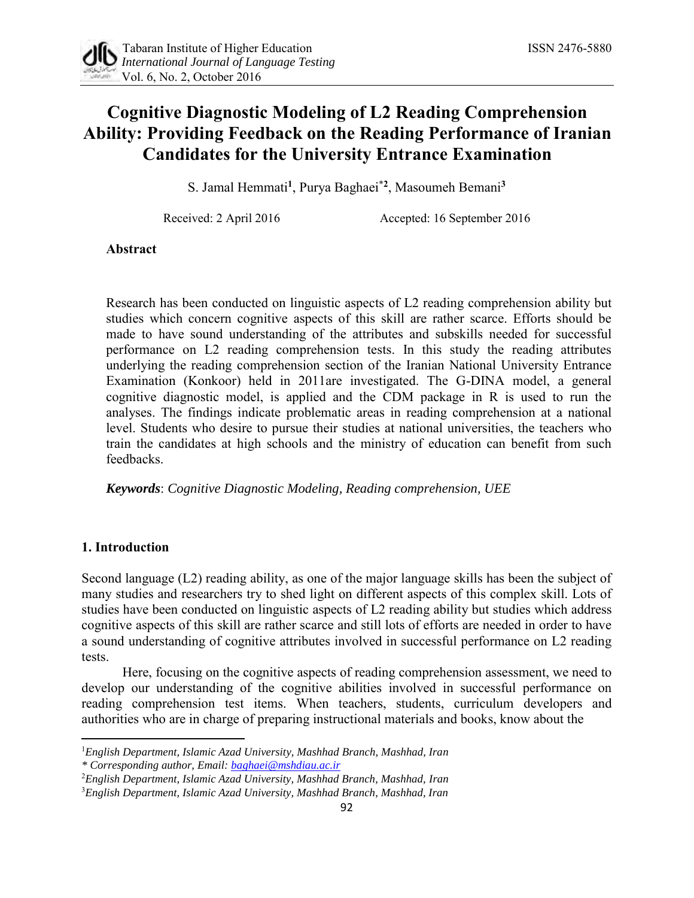# **Cognitive Diagnostic Modeling of L2 Reading Comprehension Ability: Providing Feedback on the Reading Performance of Iranian Candidates for the University Entrance Examination**

S. Jamal Hemmati**<sup>1</sup>** , Purya Baghaei\***<sup>2</sup>** , Masoumeh Bemani**<sup>3</sup>**

Received: 2 April 2016 Accepted: 16 September 2016

# **Abstract**

Research has been conducted on linguistic aspects of L2 reading comprehension ability but studies which concern cognitive aspects of this skill are rather scarce. Efforts should be made to have sound understanding of the attributes and subskills needed for successful performance on L2 reading comprehension tests. In this study the reading attributes underlying the reading comprehension section of the Iranian National University Entrance Examination (Konkoor) held in 2011are investigated. The G-DINA model, a general cognitive diagnostic model, is applied and the CDM package in R is used to run the analyses. The findings indicate problematic areas in reading comprehension at a national level. Students who desire to pursue their studies at national universities, the teachers who train the candidates at high schools and the ministry of education can benefit from such feedbacks.

*Keywords*: *Cognitive Diagnostic Modeling, Reading comprehension, UEE*

## **1. Introduction**

l

Second language (L2) reading ability, as one of the major language skills has been the subject of many studies and researchers try to shed light on different aspects of this complex skill. Lots of studies have been conducted on linguistic aspects of L2 reading ability but studies which address cognitive aspects of this skill are rather scarce and still lots of efforts are needed in order to have a sound understanding of cognitive attributes involved in successful performance on L2 reading tests.

Here, focusing on the cognitive aspects of reading comprehension assessment, we need to develop our understanding of the cognitive abilities involved in successful performance on reading comprehension test items. When teachers, students, curriculum developers and authorities who are in charge of preparing instructional materials and books, know about the

<sup>1</sup>*English Department, Islamic Azad University, Mashhad Branch, Mashhad, Iran*

*<sup>\*</sup> Corresponding author, Email: baghaei@mshdiau.ac.ir*

<sup>2</sup>*English Department, Islamic Azad University, Mashhad Branch, Mashhad, Iran*

<sup>3</sup>*English Department, Islamic Azad University, Mashhad Branch, Mashhad, Iran*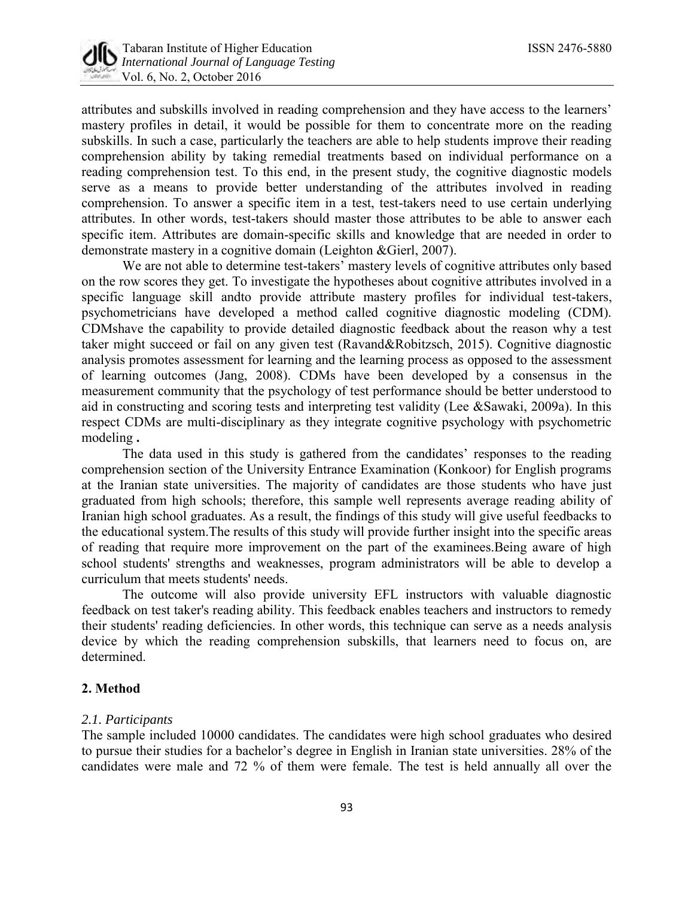

attributes and subskills involved in reading comprehension and they have access to the learners' mastery profiles in detail, it would be possible for them to concentrate more on the reading subskills. In such a case, particularly the teachers are able to help students improve their reading comprehension ability by taking remedial treatments based on individual performance on a reading comprehension test. To this end, in the present study, the cognitive diagnostic models serve as a means to provide better understanding of the attributes involved in reading comprehension. To answer a specific item in a test, test-takers need to use certain underlying attributes. In other words, test-takers should master those attributes to be able to answer each specific item. Attributes are domain-specific skills and knowledge that are needed in order to demonstrate mastery in a cognitive domain (Leighton &Gierl, 2007).

We are not able to determine test-takers' mastery levels of cognitive attributes only based on the row scores they get. To investigate the hypotheses about cognitive attributes involved in a specific language skill andto provide attribute mastery profiles for individual test-takers, psychometricians have developed a method called cognitive diagnostic modeling (CDM). CDMshave the capability to provide detailed diagnostic feedback about the reason why a test taker might succeed or fail on any given test (Ravand&Robitzsch, 2015). Cognitive diagnostic analysis promotes assessment for learning and the learning process as opposed to the assessment of learning outcomes (Jang, 2008). CDMs have been developed by a consensus in the measurement community that the psychology of test performance should be better understood to aid in constructing and scoring tests and interpreting test validity (Lee &Sawaki, 2009a). In this respect CDMs are multi-disciplinary as they integrate cognitive psychology with psychometric modeling **.**

The data used in this study is gathered from the candidates' responses to the reading comprehension section of the University Entrance Examination (Konkoor) for English programs at the Iranian state universities. The majority of candidates are those students who have just graduated from high schools; therefore, this sample well represents average reading ability of Iranian high school graduates. As a result, the findings of this study will give useful feedbacks to the educational system.The results of this study will provide further insight into the specific areas of reading that require more improvement on the part of the examinees.Being aware of high school students' strengths and weaknesses, program administrators will be able to develop a curriculum that meets students' needs.

The outcome will also provide university EFL instructors with valuable diagnostic feedback on test taker's reading ability. This feedback enables teachers and instructors to remedy their students' reading deficiencies. In other words, this technique can serve as a needs analysis device by which the reading comprehension subskills, that learners need to focus on, are determined.

## **2. Method**

# *2.1. Participants*

The sample included 10000 candidates. The candidates were high school graduates who desired to pursue their studies for a bachelor's degree in English in Iranian state universities. 28% of the candidates were male and 72 % of them were female. The test is held annually all over the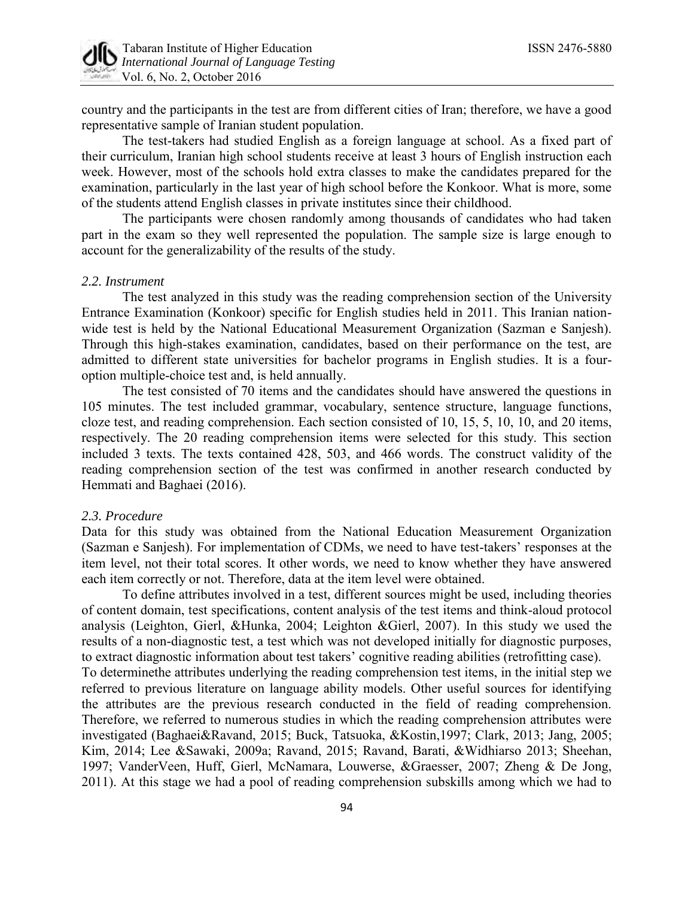

country and the participants in the test are from different cities of Iran; therefore, we have a good representative sample of Iranian student population.

The test-takers had studied English as a foreign language at school. As a fixed part of their curriculum, Iranian high school students receive at least 3 hours of English instruction each week. However, most of the schools hold extra classes to make the candidates prepared for the examination, particularly in the last year of high school before the Konkoor. What is more, some of the students attend English classes in private institutes since their childhood.

The participants were chosen randomly among thousands of candidates who had taken part in the exam so they well represented the population. The sample size is large enough to account for the generalizability of the results of the study.

# *2.2. Instrument*

The test analyzed in this study was the reading comprehension section of the University Entrance Examination (Konkoor) specific for English studies held in 2011. This Iranian nationwide test is held by the National Educational Measurement Organization (Sazman e Sanjesh). Through this high-stakes examination, candidates, based on their performance on the test, are admitted to different state universities for bachelor programs in English studies. It is a fouroption multiple-choice test and, is held annually.

The test consisted of 70 items and the candidates should have answered the questions in 105 minutes. The test included grammar, vocabulary, sentence structure, language functions, cloze test, and reading comprehension. Each section consisted of 10, 15, 5, 10, 10, and 20 items, respectively. The 20 reading comprehension items were selected for this study. This section included 3 texts. The texts contained 428, 503, and 466 words. The construct validity of the reading comprehension section of the test was confirmed in another research conducted by Hemmati and Baghaei (2016).

#### *2.3. Procedure*

Data for this study was obtained from the National Education Measurement Organization (Sazman e Sanjesh). For implementation of CDMs, we need to have test-takers' responses at the item level, not their total scores. It other words, we need to know whether they have answered each item correctly or not. Therefore, data at the item level were obtained.

To define attributes involved in a test, different sources might be used, including theories of content domain, test specifications, content analysis of the test items and think-aloud protocol analysis (Leighton, Gierl, &Hunka, 2004; Leighton &Gierl, 2007). In this study we used the results of a non-diagnostic test, a test which was not developed initially for diagnostic purposes, to extract diagnostic information about test takers' cognitive reading abilities (retrofitting case). To determinethe attributes underlying the reading comprehension test items, in the initial step we referred to previous literature on language ability models. Other useful sources for identifying the attributes are the previous research conducted in the field of reading comprehension. Therefore, we referred to numerous studies in which the reading comprehension attributes were investigated (Baghaei&Ravand, 2015; Buck, Tatsuoka, &Kostin,1997; Clark, 2013; Jang, 2005; Kim, 2014; Lee &Sawaki, 2009a; Ravand, 2015; Ravand, Barati, &Widhiarso 2013; Sheehan, 1997; VanderVeen, Huff, Gierl, McNamara, Louwerse, &Graesser, 2007; Zheng & De Jong, 2011). At this stage we had a pool of reading comprehension subskills among which we had to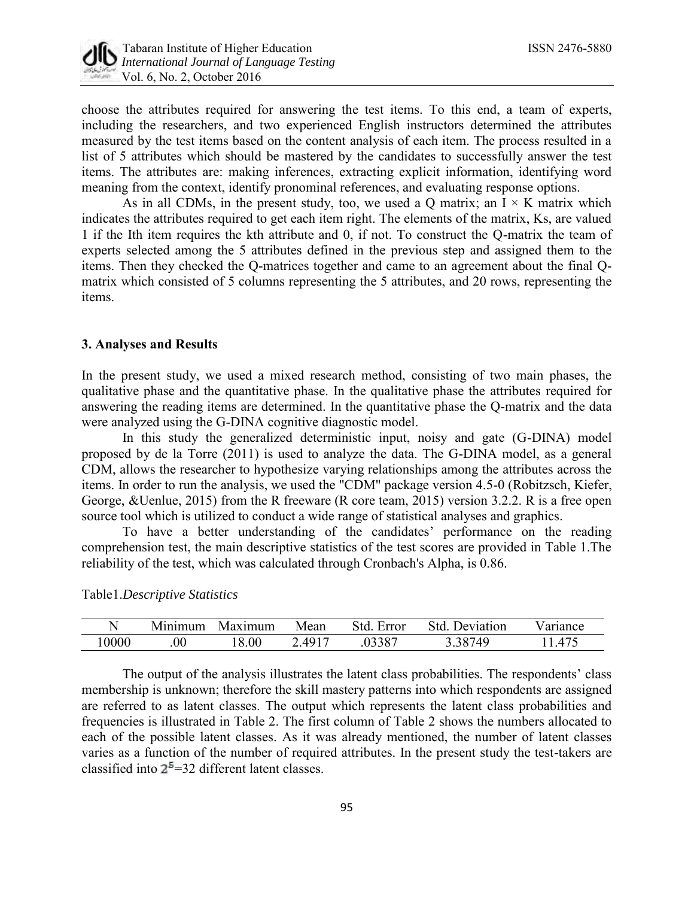

choose the attributes required for answering the test items. To this end, a team of experts, including the researchers, and two experienced English instructors determined the attributes measured by the test items based on the content analysis of each item. The process resulted in a list of 5 attributes which should be mastered by the candidates to successfully answer the test items. The attributes are: making inferences, extracting explicit information, identifying word meaning from the context, identify pronominal references, and evaluating response options.

As in all CDMs, in the present study, too, we used a Q matrix; an  $I \times K$  matrix which indicates the attributes required to get each item right. The elements of the matrix, Ks, are valued 1 if the Ith item requires the kth attribute and 0, if not. To construct the Q-matrix the team of experts selected among the 5 attributes defined in the previous step and assigned them to the items. Then they checked the Q-matrices together and came to an agreement about the final Qmatrix which consisted of 5 columns representing the 5 attributes, and 20 rows, representing the items.

## **3. Analyses and Results**

In the present study, we used a mixed research method, consisting of two main phases, the qualitative phase and the quantitative phase. In the qualitative phase the attributes required for answering the reading items are determined. In the quantitative phase the Q-matrix and the data were analyzed using the G-DINA cognitive diagnostic model.

In this study the generalized deterministic input, noisy and gate (G-DINA) model proposed by de la Torre (2011) is used to analyze the data. The G-DINA model, as a general CDM, allows the researcher to hypothesize varying relationships among the attributes across the items. In order to run the analysis, we used the "CDM" package version 4.5-0 (Robitzsch, Kiefer, George, &Uenlue, 2015) from the R freeware (R core team, 2015) version 3.2.2. R is a free open source tool which is utilized to conduct a wide range of statistical analyses and graphics.

To have a better understanding of the candidates' performance on the reading comprehension test, the main descriptive statistics of the test scores are provided in Table 1.The reliability of the test, which was calculated through Cronbach's Alpha, is 0.86.

### Table1.*Descriptive Statistics*

|      | . .<br>Minimum | Maximum | Mean  | Error  | Jeviation<br>Std. | <b>Primation</b> |
|------|----------------|---------|-------|--------|-------------------|------------------|
| 0000 | $00\,$         | .00     | .4917 | .03387 | 38749             | 475              |

The output of the analysis illustrates the latent class probabilities. The respondents' class membership is unknown; therefore the skill mastery patterns into which respondents are assigned are referred to as latent classes. The output which represents the latent class probabilities and frequencies is illustrated in Table 2. The first column of Table 2 shows the numbers allocated to each of the possible latent classes. As it was already mentioned, the number of latent classes varies as a function of the number of required attributes. In the present study the test-takers are classified into  $2^5$ =32 different latent classes.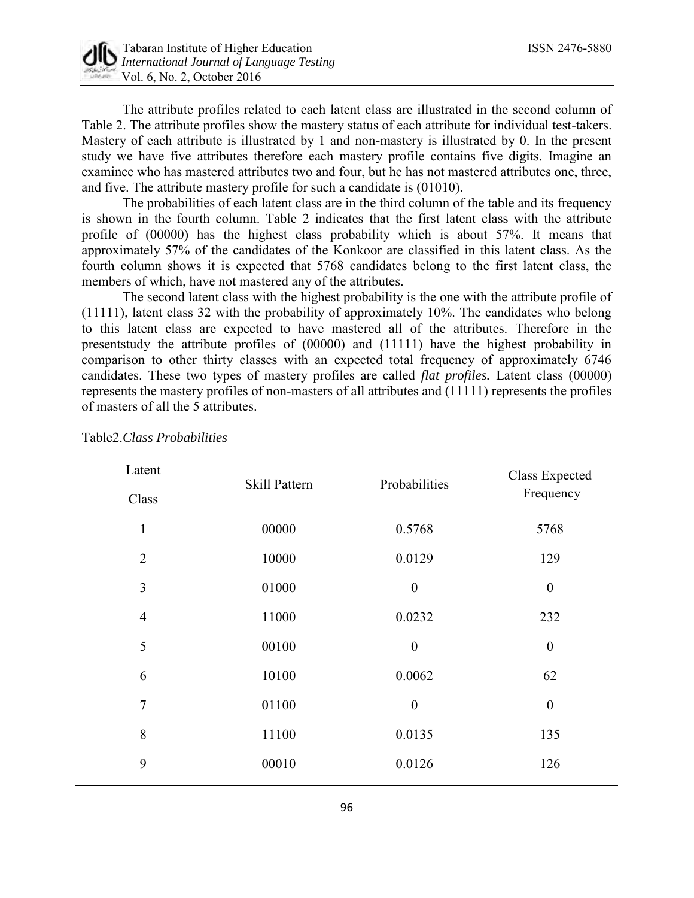

*International Journal of Language Testing*  Vol. 6, No. 2, October 2016

The attribute profiles related to each latent class are illustrated in the second column of Table 2. The attribute profiles show the mastery status of each attribute for individual test-takers. Mastery of each attribute is illustrated by 1 and non-mastery is illustrated by 0. In the present study we have five attributes therefore each mastery profile contains five digits. Imagine an examinee who has mastered attributes two and four, but he has not mastered attributes one, three, and five. The attribute mastery profile for such a candidate is (01010).

The probabilities of each latent class are in the third column of the table and its frequency is shown in the fourth column. Table 2 indicates that the first latent class with the attribute profile of (00000) has the highest class probability which is about 57%. It means that approximately 57% of the candidates of the Konkoor are classified in this latent class. As the fourth column shows it is expected that 5768 candidates belong to the first latent class, the members of which, have not mastered any of the attributes.

The second latent class with the highest probability is the one with the attribute profile of (11111), latent class 32 with the probability of approximately 10%. The candidates who belong to this latent class are expected to have mastered all of the attributes. Therefore in the presentstudy the attribute profiles of (00000) and (11111) have the highest probability in comparison to other thirty classes with an expected total frequency of approximately 6746 candidates. These two types of mastery profiles are called *flat profiles.* Latent class (00000) represents the mastery profiles of non-masters of all attributes and (11111) represents the profiles of masters of all the 5 attributes.

| Latent         | Skill Pattern | Probabilities    | Class Expected<br>Frequency |  |
|----------------|---------------|------------------|-----------------------------|--|
| Class          |               |                  |                             |  |
| $\mathbf{1}$   | 00000         | 0.5768           | 5768                        |  |
| $\overline{2}$ | 10000         | 0.0129           | 129                         |  |
| 3              | 01000         | $\boldsymbol{0}$ | $\boldsymbol{0}$            |  |
| $\overline{4}$ | 11000         | 0.0232           | 232                         |  |
| 5              | 00100         | $\boldsymbol{0}$ | $\boldsymbol{0}$            |  |
| 6              | 10100         | 0.0062           | 62                          |  |
| $\overline{7}$ | 01100         | $\boldsymbol{0}$ | $\boldsymbol{0}$            |  |
| 8              | 11100         | 0.0135           | 135                         |  |
| 9              | 00010         | 0.0126           | 126                         |  |

Table2.*Class Probabilities*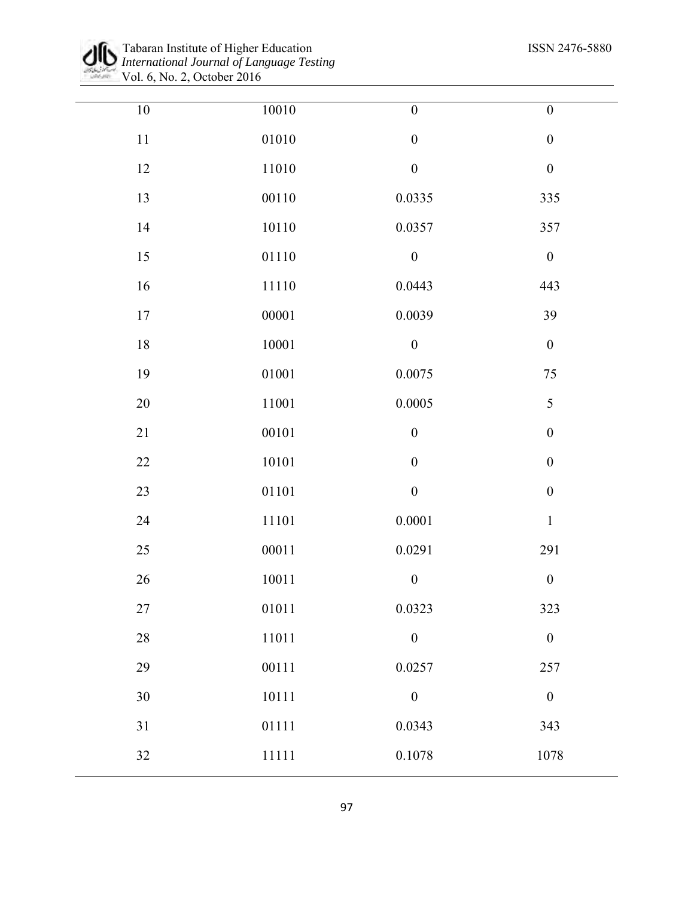

Tabaran Institute of Higher Education ISSN 2476-5880 *International Journal of Language Testing*  Vol. 6, No. 2, October 2016

| $10\,$ | $10010\,$ | $\boldsymbol{0}$ | $\boldsymbol{0}$ |
|--------|-----------|------------------|------------------|
| $11\,$ | 01010     | $\boldsymbol{0}$ | $\boldsymbol{0}$ |
| 12     | $11010\,$ | $\boldsymbol{0}$ | $\boldsymbol{0}$ |
| 13     | $00110\,$ | 0.0335           | 335              |
| 14     | 10110     | 0.0357           | 357              |
| 15     | $01110\,$ | $\boldsymbol{0}$ | $\boldsymbol{0}$ |
| 16     | 11110     | 0.0443           | 443              |
| 17     | 00001     | 0.0039           | 39               |
| 18     | $10001\,$ | $\boldsymbol{0}$ | $\boldsymbol{0}$ |
| 19     | 01001     | 0.0075           | $75\,$           |
| $20\,$ | 11001     | 0.0005           | 5                |
| 21     | 00101     | $\boldsymbol{0}$ | $\boldsymbol{0}$ |
| $22\,$ | $10101\,$ | $\boldsymbol{0}$ | $\boldsymbol{0}$ |
| 23     | $01101\,$ | $\boldsymbol{0}$ | $\boldsymbol{0}$ |
| 24     | 11101     | 0.0001           | $\,1\,$          |
| 25     | $00011\,$ | 0.0291           | 291              |
| $26\,$ | 10011     | $\boldsymbol{0}$ | $\boldsymbol{0}$ |
| 27     | 01011     | 0.0323           | 323              |
| $28\,$ | $11011\,$ | $\boldsymbol{0}$ | $\boldsymbol{0}$ |
| 29     | 00111     | 0.0257           | 257              |
| 30     | $10111\,$ | $\boldsymbol{0}$ | $\boldsymbol{0}$ |
| 31     | 01111     | 0.0343           | 343              |
| 32     | $11111\,$ | 0.1078           | 1078             |
|        |           |                  |                  |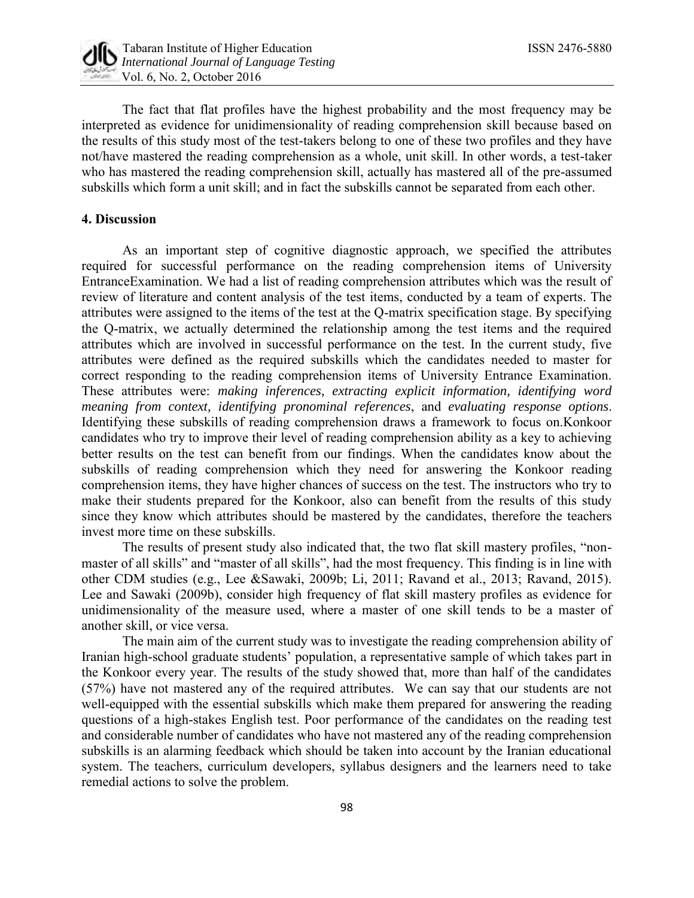

The fact that flat profiles have the highest probability and the most frequency may be interpreted as evidence for unidimensionality of reading comprehension skill because based on the results of this study most of the test-takers belong to one of these two profiles and they have not/have mastered the reading comprehension as a whole, unit skill. In other words, a test-taker who has mastered the reading comprehension skill, actually has mastered all of the pre-assumed subskills which form a unit skill; and in fact the subskills cannot be separated from each other.

## **4. Discussion**

As an important step of cognitive diagnostic approach, we specified the attributes required for successful performance on the reading comprehension items of University EntranceExamination. We had a list of reading comprehension attributes which was the result of review of literature and content analysis of the test items, conducted by a team of experts. The attributes were assigned to the items of the test at the Q-matrix specification stage. By specifying the Q-matrix, we actually determined the relationship among the test items and the required attributes which are involved in successful performance on the test. In the current study, five attributes were defined as the required subskills which the candidates needed to master for correct responding to the reading comprehension items of University Entrance Examination. These attributes were: *making inferences, extracting explicit information, identifying word meaning from context, identifying pronominal references*, and *evaluating response options*. Identifying these subskills of reading comprehension draws a framework to focus on.Konkoor candidates who try to improve their level of reading comprehension ability as a key to achieving better results on the test can benefit from our findings. When the candidates know about the subskills of reading comprehension which they need for answering the Konkoor reading comprehension items, they have higher chances of success on the test. The instructors who try to make their students prepared for the Konkoor, also can benefit from the results of this study since they know which attributes should be mastered by the candidates, therefore the teachers invest more time on these subskills.

The results of present study also indicated that, the two flat skill mastery profiles, "nonmaster of all skills" and "master of all skills", had the most frequency. This finding is in line with other CDM studies (e.g., Lee &Sawaki, 2009b; Li, 2011; Ravand et al., 2013; Ravand, 2015). Lee and Sawaki (2009b), consider high frequency of flat skill mastery profiles as evidence for unidimensionality of the measure used, where a master of one skill tends to be a master of another skill, or vice versa.

The main aim of the current study was to investigate the reading comprehension ability of Iranian high-school graduate students' population, a representative sample of which takes part in the Konkoor every year. The results of the study showed that, more than half of the candidates (57%) have not mastered any of the required attributes. We can say that our students are not well-equipped with the essential subskills which make them prepared for answering the reading questions of a high-stakes English test. Poor performance of the candidates on the reading test and considerable number of candidates who have not mastered any of the reading comprehension subskills is an alarming feedback which should be taken into account by the Iranian educational system. The teachers, curriculum developers, syllabus designers and the learners need to take remedial actions to solve the problem.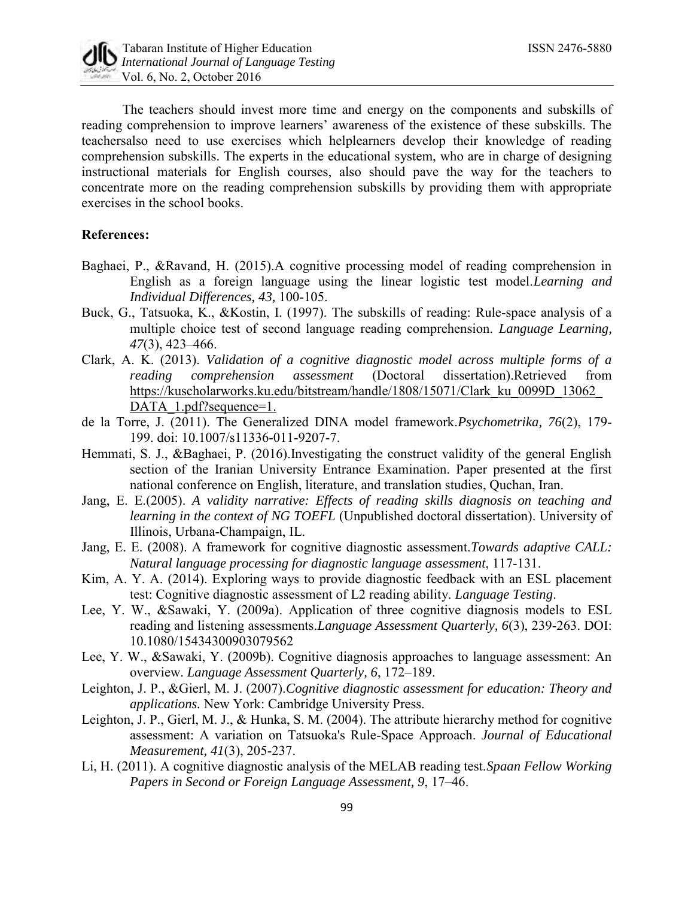

The teachers should invest more time and energy on the components and subskills of reading comprehension to improve learners' awareness of the existence of these subskills. The teachersalso need to use exercises which helplearners develop their knowledge of reading comprehension subskills. The experts in the educational system, who are in charge of designing instructional materials for English courses, also should pave the way for the teachers to concentrate more on the reading comprehension subskills by providing them with appropriate exercises in the school books.

# **References:**

- Baghaei, P., &Ravand, H. (2015).A cognitive processing model of reading comprehension in English as a foreign language using the linear logistic test model.*Learning and Individual Differences, 43,* 100-105.
- Buck, G., Tatsuoka, K., &Kostin, I. (1997). The subskills of reading: Rule-space analysis of a multiple choice test of second language reading comprehension. *Language Learning, 47*(3), 423–466.
- Clark, A. K. (2013). *Validation of a cognitive diagnostic model across multiple forms of a reading comprehension assessment* (Doctoral dissertation).Retrieved from https://kuscholarworks.ku.edu/bitstream/handle/1808/15071/Clark\_ku\_0099D\_13062 DATA 1.pdf?sequence=1.
- de la Torre, J. (2011). The Generalized DINA model framework.*Psychometrika, 76*(2), 179- 199. doi: 10.1007/s11336-011-9207-7.
- Hemmati, S. J., &Baghaei, P. (2016).Investigating the construct validity of the general English section of the Iranian University Entrance Examination. Paper presented at the first national conference on English, literature, and translation studies, Quchan, Iran.
- Jang, E. E.(2005). *A validity narrative: Effects of reading skills diagnosis on teaching and learning in the context of NG TOEFL* (Unpublished doctoral dissertation). University of Illinois, Urbana-Champaign, IL.
- Jang, E. E. (2008). A framework for cognitive diagnostic assessment.*Towards adaptive CALL: Natural language processing for diagnostic language assessment*, 117-131.
- Kim, A. Y. A. (2014). Exploring ways to provide diagnostic feedback with an ESL placement test: Cognitive diagnostic assessment of L2 reading ability. *Language Testing*.
- Lee, Y. W., &Sawaki, Y. (2009a). Application of three cognitive diagnosis models to ESL reading and listening assessments.*Language Assessment Quarterly, 6*(3), 239-263. DOI: 10.1080/15434300903079562
- Lee, Y. W., &Sawaki, Y. (2009b). Cognitive diagnosis approaches to language assessment: An overview. *Language Assessment Quarterly, 6*, 172–189.
- Leighton, J. P., &Gierl, M. J. (2007).*Cognitive diagnostic assessment for education: Theory and applications.* New York: Cambridge University Press.
- Leighton, J. P., Gierl, M. J., & Hunka, S. M. (2004). The attribute hierarchy method for cognitive assessment: A variation on Tatsuoka's Rule-Space Approach. *Journal of Educational Measurement, 41*(3), 205-237.
- Li, H. (2011). A cognitive diagnostic analysis of the MELAB reading test.*Spaan Fellow Working Papers in Second or Foreign Language Assessment, 9*, 17–46.